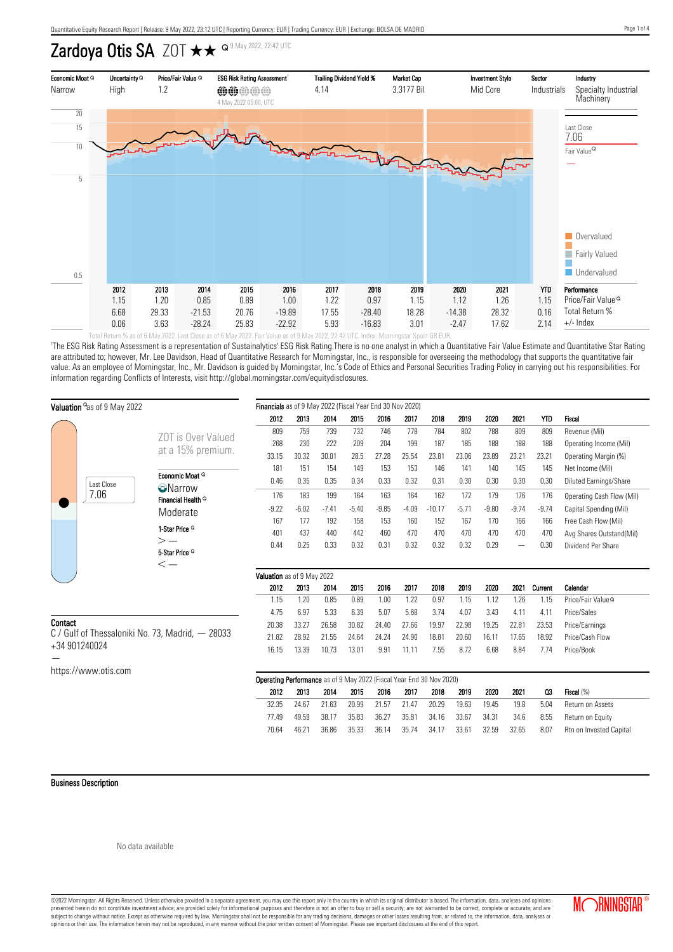# Zardoya Otis SA ZOT  $\star\star$  <sup>Q 9 May 2022, 22:42 UTC</sup>



'The ESG Risk Rating Assessment is a representation of Sustainalytics' ESG Risk Rating.There is no one analyst in which a Quantitative Fair Value Estimate and Quantitative Star Rating are attributed to; however, Mr. Lee Davidson, Head of Quantitative Research for Morningstar, Inc., is responsible for overseeing the methodology that supports the quantitative fair value. As an employee of Morningstar, Inc., Mr. Davidson is guided by Morningstar, Inc.'s Code of Ethics and Personal Securities Trading Policy in carrying out his responsibilities. For information regarding Conflicts of Interests, visit http://global.morningstar.com/equitydisclosures.

| Valuation <sup>o</sup> as of 9 May 2022          | Financials as of 9 May 2022 (Fiscal Year End 30 Nov 2020)           |                            |         |         |         |         |         |          |         |         |                          |                 |                               |
|--------------------------------------------------|---------------------------------------------------------------------|----------------------------|---------|---------|---------|---------|---------|----------|---------|---------|--------------------------|-----------------|-------------------------------|
|                                                  |                                                                     | 2012                       | 2013    | 2014    | 2015    | 2016    | 2017    | 2018     | 2019    | 2020    | 2021                     | <b>YTD</b>      | Fiscal                        |
|                                                  | <b>ZOT</b> is Over Valued<br>at a 15% premium.                      | 809                        | 759     | 739     | 732     | 746     | 778     | 784      | 802     | 788     | 809                      | 809             | Revenue (Mil)                 |
|                                                  |                                                                     | 268                        | 230     | 222     | 209     | 204     | 199     | 187      | 185     | 188     | 188                      | 188             | Operating Income (Mil)        |
|                                                  |                                                                     | 33.15                      | 30.32   | 30.01   | 28.5    | 27.28   | 25.54   | 23.81    | 23.06   | 23.89   | 23.21                    | 23.21           | Operating Margin (%)          |
|                                                  | Economic Moat Q<br><b>O</b> Narrow<br>Financial Health <sup>Q</sup> | 181                        | 151     | 154     | 149     | 153     | 153     | 146      | 141     | 140     | 145                      | 145             | Net Income (Mil)              |
| Last Close                                       |                                                                     | 0.46                       | 0.35    | 0.35    | 0.34    | 0.33    | 0.32    | 0.31     | 0.30    | 0.30    | 0.30                     | 0.30            | <b>Diluted Earnings/Share</b> |
| 7.06                                             |                                                                     | 176                        | 183     | 199     | 164     | 163     | 164     | 162      | 172     | 179     | 176                      | 176             | Operating Cash Flow (Mil)     |
|                                                  | Moderate                                                            | $-9.22$                    | $-6.02$ | $-7.41$ | $-5.40$ | $-9.85$ | $-4.09$ | $-10.17$ | $-5.71$ | $-9.80$ | $-9.74$                  | $-9.74$         | Capital Spending (Mil)        |
|                                                  |                                                                     | 167                        | 177     | 192     | 158     | 153     | 160     | 152      | 167     | 170     | 166                      | 166             | Free Cash Flow (Mil)          |
|                                                  | 1-Star Price <sup>Q</sup>                                           | 401                        | 437     | 440     | 442     | 460     | 470     | 470      | 470     | 470     | 470                      | 470             | Avg Shares Outstand(Mil)      |
|                                                  | $>$ $-$<br>5-Star Price <sup>Q</sup>                                | 0.44                       | 0.25    | 0.33    | 0.32    | 0.31    | 0.32    | 0.32     | 0.32    | 0.29    | $\overline{\phantom{m}}$ | 0.30            | Dividend Per Share            |
|                                                  | $\operatorname{\!<\!}-$                                             |                            |         |         |         |         |         |          |         |         |                          |                 |                               |
|                                                  |                                                                     | Valuation as of 9 May 2022 |         |         |         |         |         |          |         |         |                          |                 |                               |
|                                                  |                                                                     | 2012                       | 2013    | 2014    | 2015    | 2016    | 2017    | 2018     | 2019    | 2020    | 2021                     | Current         | Calendar                      |
|                                                  |                                                                     | 1.15                       | 1.20    | 0.85    | 0.89    | 1.00    | 1.22    | 0.97     | 1.15    | 1.12    | 1.26                     | 1.15            | Price/Fair Value <sup>Q</sup> |
|                                                  |                                                                     | 4.75                       | 6.97    | 5.33    | 6.39    | 5.07    | 5.68    | 3.74     | 4.07    | 3.43    | 4.11                     | 4.11            | Price/Sales                   |
| Contact                                          | 20.38                                                               | 33.27                      | 26.58   | 30.82   | 24.40   | 27.66   | 19.97   | 22.98    | 19.25   | 22.81   | 23.53                    | Price/Earnings  |                               |
| C / Gulf of Thessaloniki No. 73, Madrid, - 28033 | 21.82                                                               | 28.92                      | 21.55   | 24.64   | 24.24   | 24.90   | 18.81   | 20.60    | 16.11   | 17.65   | 18.92                    | Price/Cash Flow |                               |
| +34 901240024                                    | 16.15                                                               | 13.39                      | 10.73   | 13.01   | 9.91    | 11.11   | 7.55    | 8.72     | 6.68    | 8.84    | 7.74                     | Price/Book      |                               |
|                                                  |                                                                     |                            |         |         |         |         |         |          |         |         |                          |                 |                               |
| https://www.otis.com                             |                                                                     |                            |         |         |         |         |         |          |         |         |                          |                 |                               |

| <b>Operating Performance</b> as of 9 May 2022 (Fiscal Year End 30 Nov 2020) |       |       |       |       |       |       |       |       |       |       |      |                         |
|-----------------------------------------------------------------------------|-------|-------|-------|-------|-------|-------|-------|-------|-------|-------|------|-------------------------|
|                                                                             | 2012  | 2013  | 2014  | 2015  | 2016  | 2017  | 2018  | 2019  | 2020  | 2021  | Q3   | Fiscal (%)              |
|                                                                             | 32.35 | 24.67 | 21.63 | 20.99 | 21.57 | 21.47 | 20.29 | 19.63 | 19.45 | 19.8  | 5.04 | Return on Assets        |
|                                                                             | 77.49 | 49.59 | 38.17 | 35.83 | 36.27 | 35.81 | 34.16 | 33.67 | 34.31 | 34.6  | 8.55 | Return on Equity        |
|                                                                             | 70.64 | 46.21 | 36.86 | 35.33 | 36.14 | 35.74 | 34.17 | 33.61 | 32.59 | 32.65 | 8.07 | Rtn on Invested Capital |

#### Business Description

©2022 Morningstar. All Rights Reserved. Unless otherwise provided in a separate agreement, you may use this report only in the country in which its original distributor is based. The information, data, analyses and opinions presented herein do not constitute investment advice; are provided solely for informational purposes and therefore is not an offer to buy or sell a security; are not warranted to be correct, complete or accurate; and are subject to change without notice. Except as otherwise required by law, Morningstar shall not be responsible for any trading decisions, damages or other losses resulting from, or related to, the information, data, analyses

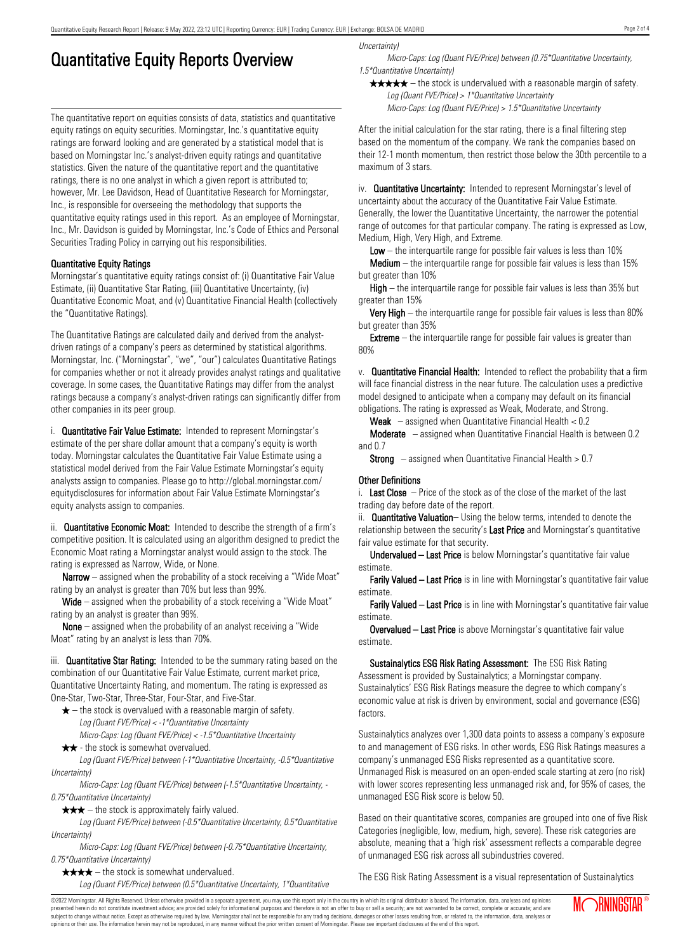## Quantitative Equity Reports Overview

The quantitative report on equities consists of data, statistics and quantitative equity ratings on equity securities. Morningstar, Inc.'s quantitative equity ratings are forward looking and are generated by a statistical model that is based on Morningstar Inc.'s analyst-driven equity ratings and quantitative statistics. Given the nature of the quantitative report and the quantitative ratings, there is no one analyst in which a given report is attributed to; however, Mr. Lee Davidson, Head of Quantitative Research for Morningstar, Inc., is responsible for overseeing the methodology that supports the quantitative equity ratings used in this report. As an employee of Morningstar, Inc., Mr. Davidson is guided by Morningstar, Inc.'s Code of Ethics and Personal Securities Trading Policy in carrying out his responsibilities.

#### Quantitative Equity Ratings

Morningstar's quantitative equity ratings consist of: (i) Quantitative Fair Value Estimate, (ii) Quantitative Star Rating, (iii) Quantitative Uncertainty, (iv) Quantitative Economic Moat, and (v) Quantitative Financial Health (collectively the "Quantitative Ratings).

The Quantitative Ratings are calculated daily and derived from the analystdriven ratings of a company's peers as determined by statistical algorithms. Morningstar, Inc. ("Morningstar", "we", "our") calculates Quantitative Ratings for companies whether or not it already provides analyst ratings and qualitative coverage. In some cases, the Quantitative Ratings may differ from the analyst ratings because a company's analyst-driven ratings can significantly differ from other companies in its peer group.

i. **Quantitative Fair Value Estimate:** Intended to represent Morningstar's estimate of the per share dollar amount that a company's equity is worth today. Morningstar calculates the Quantitative Fair Value Estimate using a statistical model derived from the Fair Value Estimate Morningstar's equity analysts assign to companies. Please go to http://global.morningstar.com/ equitydisclosures for information about Fair Value Estimate Morningstar's equity analysts assign to companies.

ii. **Quantitative Economic Moat:** Intended to describe the strength of a firm's competitive position. It is calculated using an algorithm designed to predict the Economic Moat rating a Morningstar analyst would assign to the stock. The rating is expressed as Narrow, Wide, or None.

**Narrow** – assigned when the probability of a stock receiving a "Wide Moat" rating by an analyst is greater than 70% but less than 99%.

Wide – assigned when the probability of a stock receiving a "Wide Moat" rating by an analyst is greater than 99%.

None – assigned when the probability of an analyst receiving a "Wide Moat" rating by an analyst is less than 70%.

iii. **Quantitative Star Rating:** Intended to be the summary rating based on the combination of our Quantitative Fair Value Estimate, current market price, Quantitative Uncertainty Rating, and momentum. The rating is expressed as One-Star, Two-Star, Three-Star, Four-Star, and Five-Star.

- $\star$  the stock is overvalued with a reasonable margin of safety. Log (Quant FVE/Price) < -1\*Quantitative Uncertainty
- Micro-Caps: Log (Quant FVE/Price) < -1.5\*Quantitative Uncertainty  $\star \star$  - the stock is somewhat overvalued.

Log (Quant FVE/Price) between (-1\*Quantitative Uncertainty, -0.5\*Quantitative Uncertainty)

Micro-Caps: Log (Quant FVE/Price) between (-1.5\*Quantitative Uncertainty, - 0.75\*Quantitative Uncertainty)

 $\star \star \star$  – the stock is approximately fairly valued.

Log (Quant FVE/Price) between (-0.5\*Quantitative Uncertainty, 0.5\*Quantitative Uncertainty)

Micro-Caps: Log (Quant FVE/Price) between (-0.75\*Quantitative Uncertainty, 0.75\*Quantitative Uncertainty)

 $\star \star \star \star$  – the stock is somewhat undervalued.

Log (Quant FVE/Price) between (0.5\*Quantitative Uncertainty, 1\*Quantitative

Uncertainty)

Micro-Caps: Log (Quant FVE/Price) between (0.75\*Quantitative Uncertainty, 1.5\*Quantitative Uncertainty)

 $\star \star \star \star$  – the stock is undervalued with a reasonable margin of safety. Log (Quant FVE/Price) > 1\*Quantitative Uncertainty

Micro-Caps: Log (Quant FVE/Price) > 1.5\*Quantitative Uncertainty

After the initial calculation for the star rating, there is a final filtering step based on the momentum of the company. We rank the companies based on their 12-1 month momentum, then restrict those below the 30th percentile to a maximum of 3 stars.

iv. **Quantitative Uncertainty:** Intended to represent Morningstar's level of uncertainty about the accuracy of the Quantitative Fair Value Estimate. Generally, the lower the Quantitative Uncertainty, the narrower the potential range of outcomes for that particular company. The rating is expressed as Low, Medium, High, Very High, and Extreme.

**Low** – the interguartile range for possible fair values is less than  $10\%$ 

**Medium** – the interquartile range for possible fair values is less than  $15\%$ but greater than 10%

High – the interquartile range for possible fair values is less than 35% but greater than 15%

Very High – the interquartile range for possible fair values is less than 80% but greater than 35%

**Extreme** – the interquartile range for possible fair values is greater than 80%

v. Quantitative Financial Health: Intended to reflect the probability that a firm will face financial distress in the near future. The calculation uses a predictive model designed to anticipate when a company may default on its financial obligations. The rating is expressed as Weak, Moderate, and Strong.

**Weak**  $-$  assigned when Quantitative Financial Health  $< 0.2$ 

Moderate – assigned when Quantitative Financial Health is between 0.2 and 0.7

**Strong** – assigned when Quantitative Financial Health  $> 0.7$ 

#### Other Definitions

i. Last Close  $-$  Price of the stock as of the close of the market of the last trading day before date of the report.

ii. **Quantitative Valuation**– Using the below terms, intended to denote the relationship between the security's Last Price and Morningstar's quantitative fair value estimate for that security.

Undervalued – Last Price is below Morningstar's quantitative fair value estimate.

Farily Valued – Last Price is in line with Morningstar's quantitative fair value estimate.

Farily Valued – Last Price is in line with Morningstar's quantitative fair value estimate.

Overvalued – Last Price is above Morningstar's quantitative fair value estimate.

Sustainalytics ESG Risk Rating Assessment: The ESG Risk Rating Assessment is provided by Sustainalytics; a Morningstar company. Sustainalytics' ESG Risk Ratings measure the degree to which company's economic value at risk is driven by environment, social and governance (ESG) factors.

Sustainalytics analyzes over 1,300 data points to assess a company's exposure to and management of ESG risks. In other words, ESG Risk Ratings measures a company's unmanaged ESG Risks represented as a quantitative score. Unmanaged Risk is measured on an open-ended scale starting at zero (no risk) with lower scores representing less unmanaged risk and, for 95% of cases, the unmanaged ESG Risk score is below 50.

Based on their quantitative scores, companies are grouped into one of five Risk Categories (negligible, low, medium, high, severe). These risk categories are absolute, meaning that a 'high risk' assessment reflects a comparable degree of unmanaged ESG risk across all subindustries covered.

The ESG Risk Rating Assessment is a visual representation of Sustainalytics

©2022 Morningstar. All Rights Reserved. Unless otherwise provided in a separate agreement, you may use this report only in the country in which its original distributor is based. The information, data, analyses and opinions presented herein do not constitute investment advice; are provided solely for informational purposes and therefore is not an offer to buy or sell a security; are not warranted to be correct, complete or accurate; and are subject to change without notice. Except as otherwise required by law, Morningstar shall not be responsible for any trading decisions, damages or other losses resulting from, or related to, the information, data, analyses or opinions or their use. The information herein may not be reproduced, in any manner without the prior written consent of Morningstar. Please see important disclosures at the end of this report.

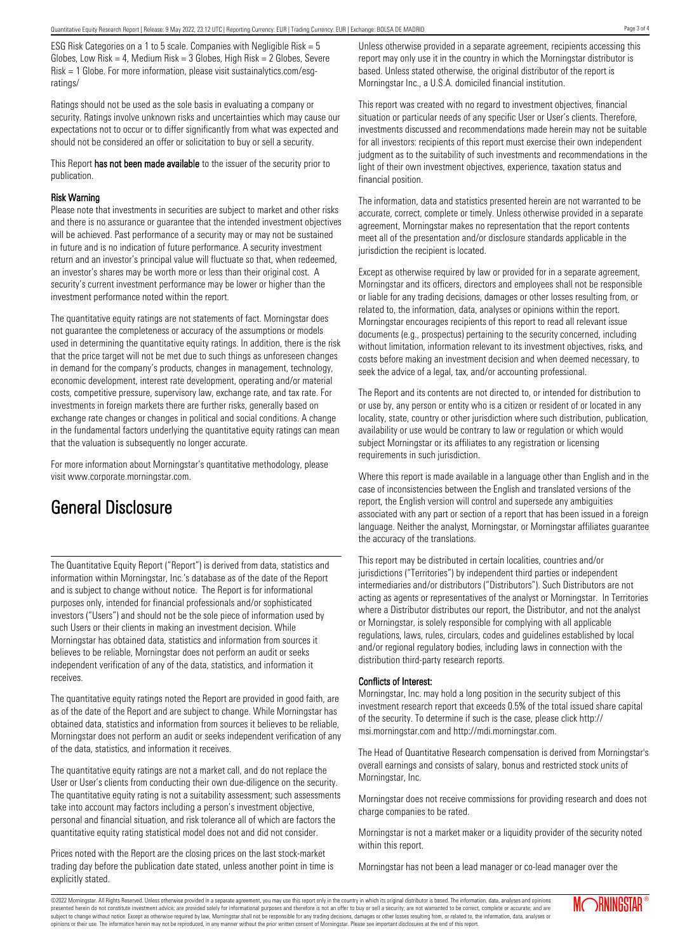ESG Risk Categories on a 1 to 5 scale. Companies with Negligible Risk = 5 Globes, Low Risk = 4, Medium Risk =  $3$  Globes, High Risk =  $2$  Globes, Severe Risk = 1 Globe. For more information, please visit sustainalytics.com/esgratings/

Ratings should not be used as the sole basis in evaluating a company or security. Ratings involve unknown risks and uncertainties which may cause our expectations not to occur or to differ significantly from what was expected and should not be considered an offer or solicitation to buy or sell a security.

This Report has not been made available to the issuer of the security prior to publication.

#### Risk Warning

Please note that investments in securities are subject to market and other risks and there is no assurance or guarantee that the intended investment objectives will be achieved. Past performance of a security may or may not be sustained in future and is no indication of future performance. A security investment return and an investor's principal value will fluctuate so that, when redeemed, an investor's shares may be worth more or less than their original cost. A security's current investment performance may be lower or higher than the investment performance noted within the report.

The quantitative equity ratings are not statements of fact. Morningstar does not guarantee the completeness or accuracy of the assumptions or models used in determining the quantitative equity ratings. In addition, there is the risk that the price target will not be met due to such things as unforeseen changes in demand for the company's products, changes in management, technology, economic development, interest rate development, operating and/or material costs, competitive pressure, supervisory law, exchange rate, and tax rate. For investments in foreign markets there are further risks, generally based on exchange rate changes or changes in political and social conditions. A change in the fundamental factors underlying the quantitative equity ratings can mean that the valuation is subsequently no longer accurate.

For more information about Morningstar's quantitative methodology, please visit www.corporate.morningstar.com.

### General Disclosure

The Quantitative Equity Report ("Report") is derived from data, statistics and information within Morningstar, Inc.'s database as of the date of the Report and is subject to change without notice. The Report is for informational purposes only, intended for financial professionals and/or sophisticated investors ("Users") and should not be the sole piece of information used by such Users or their clients in making an investment decision. While Morningstar has obtained data, statistics and information from sources it believes to be reliable, Morningstar does not perform an audit or seeks independent verification of any of the data, statistics, and information it receives.

The quantitative equity ratings noted the Report are provided in good faith, are as of the date of the Report and are subject to change. While Morningstar has obtained data, statistics and information from sources it believes to be reliable, Morningstar does not perform an audit or seeks independent verification of any of the data, statistics, and information it receives.

The quantitative equity ratings are not a market call, and do not replace the User or User's clients from conducting their own due-diligence on the security. The quantitative equity rating is not a suitability assessment; such assessments take into account may factors including a person's investment objective, personal and financial situation, and risk tolerance all of which are factors the quantitative equity rating statistical model does not and did not consider.

Prices noted with the Report are the closing prices on the last stock-market trading day before the publication date stated, unless another point in time is explicitly stated.

Unless otherwise provided in a separate agreement, recipients accessing this report may only use it in the country in which the Morningstar distributor is based. Unless stated otherwise, the original distributor of the report is Morningstar Inc., a U.S.A. domiciled financial institution.

This report was created with no regard to investment objectives, financial situation or particular needs of any specific User or User's clients. Therefore, investments discussed and recommendations made herein may not be suitable for all investors: recipients of this report must exercise their own independent judgment as to the suitability of such investments and recommendations in the light of their own investment objectives, experience, taxation status and financial position.

The information, data and statistics presented herein are not warranted to be accurate, correct, complete or timely. Unless otherwise provided in a separate agreement, Morningstar makes no representation that the report contents meet all of the presentation and/or disclosure standards applicable in the jurisdiction the recipient is located.

Except as otherwise required by law or provided for in a separate agreement, Morningstar and its officers, directors and employees shall not be responsible or liable for any trading decisions, damages or other losses resulting from, or related to, the information, data, analyses or opinions within the report. Morningstar encourages recipients of this report to read all relevant issue documents (e.g., prospectus) pertaining to the security concerned, including without limitation, information relevant to its investment objectives, risks, and costs before making an investment decision and when deemed necessary, to seek the advice of a legal, tax, and/or accounting professional.

The Report and its contents are not directed to, or intended for distribution to or use by, any person or entity who is a citizen or resident of or located in any locality, state, country or other jurisdiction where such distribution, publication, availability or use would be contrary to law or regulation or which would subject Morningstar or its affiliates to any registration or licensing requirements in such jurisdiction.

Where this report is made available in a language other than English and in the case of inconsistencies between the English and translated versions of the report, the English version will control and supersede any ambiguities associated with any part or section of a report that has been issued in a foreign language. Neither the analyst, Morningstar, or Morningstar affiliates guarantee the accuracy of the translations.

This report may be distributed in certain localities, countries and/or jurisdictions ("Territories") by independent third parties or independent intermediaries and/or distributors ("Distributors"). Such Distributors are not acting as agents or representatives of the analyst or Morningstar. In Territories where a Distributor distributes our report, the Distributor, and not the analyst or Morningstar, is solely responsible for complying with all applicable regulations, laws, rules, circulars, codes and guidelines established by local and/or regional regulatory bodies, including laws in connection with the distribution third-party research reports.

#### Conflicts of Interest:

Morningstar, Inc. may hold a long position in the security subject of this investment research report that exceeds 0.5% of the total issued share capital of the security. To determine if such is the case, please click http:// msi.morningstar.com and http://mdi.morningstar.com.

The Head of Quantitative Research compensation is derived from Morningstar's overall earnings and consists of salary, bonus and restricted stock units of Morningstar, Inc.

Morningstar does not receive commissions for providing research and does not charge companies to be rated.

Morningstar is not a market maker or a liquidity provider of the security noted within this report.

Morningstar has not been a lead manager or co-lead manager over the